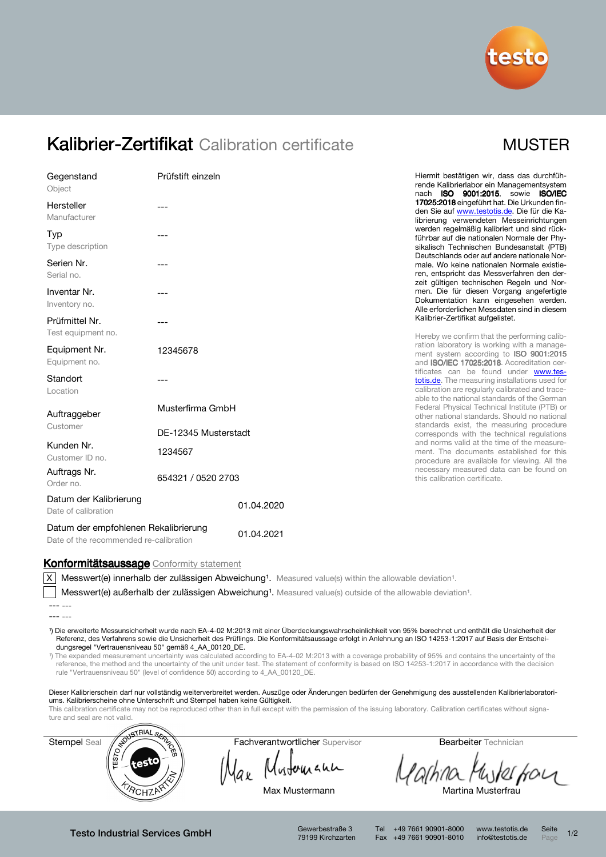

## Kalibrier-Zertifikat Calibration certificate MUSTER

| Gegenstand<br>Object                                 | Prüfstift einzeln    | Hiermit bestätigen wir, dass das durchfüh-<br>rende Kalibrierlabor ein Managementsystem<br>nach ISO 9001:2015, sowie ISO/IEC                                                                                                                                                                                                                                                                                                                                                |
|------------------------------------------------------|----------------------|-----------------------------------------------------------------------------------------------------------------------------------------------------------------------------------------------------------------------------------------------------------------------------------------------------------------------------------------------------------------------------------------------------------------------------------------------------------------------------|
| Hersteller<br>Manufacturer                           |                      | 17025:2018 eingeführt hat. Die Urkunden fin-<br>den Sie auf www.testotis.de. Die für die Ka-<br>librierung verwendeten Messeinrichtungen<br>werden regelmäßig kalibriert und sind rück-<br>führbar auf die nationalen Normale der Phy-<br>sikalisch Technischen Bundesanstalt (PTB)<br>Deutschlands oder auf andere nationale Nor-<br>male. Wo keine nationalen Normale existie-<br>ren, entspricht das Messverfahren den der-<br>zeit gültigen technischen Regeln und Nor- |
| Typ<br>Type description                              |                      |                                                                                                                                                                                                                                                                                                                                                                                                                                                                             |
| Serien Nr.<br>Serial no.                             |                      |                                                                                                                                                                                                                                                                                                                                                                                                                                                                             |
| Inventar Nr.<br>Inventory no.                        | ---                  | men. Die für diesen Vorgang angefertigte<br>Dokumentation kann eingesehen werden.<br>Alle erforderlichen Messdaten sind in diesem                                                                                                                                                                                                                                                                                                                                           |
| Prüfmittel Nr.                                       |                      | Kalibrier-Zertifikat aufgelistet.                                                                                                                                                                                                                                                                                                                                                                                                                                           |
| Test equipment no.<br>Equipment Nr.<br>Equipment no. | 12345678             | Hereby we confirm that the performing calib-<br>ration laboratory is working with a manage-<br>ment system according to ISO 9001:2015<br>and ISO/IEC 17025:2018. Accreditation cer-<br>tificates can be found under www.tes-<br>totis.de. The measuring installations used for<br>calibration are regularly calibrated and trace-<br>able to the national standards of the German                                                                                           |
| Standort<br>Location                                 |                      |                                                                                                                                                                                                                                                                                                                                                                                                                                                                             |
| Auftraggeber<br>Customer                             | Musterfirma GmbH     | Federal Physical Technical Institute (PTB) or<br>other national standards. Should no national<br>standards exist, the measuring procedure                                                                                                                                                                                                                                                                                                                                   |
|                                                      | DE-12345 Musterstadt | corresponds with the technical regulations                                                                                                                                                                                                                                                                                                                                                                                                                                  |
| Kunden Nr.<br>Customer ID no.                        | 1234567              | and norms valid at the time of the measure-<br>ment. The documents established for this<br>procedure are available for viewing. All the                                                                                                                                                                                                                                                                                                                                     |
| Auftrags Nr.<br>Order no.                            | 654321 / 0520 2703   | necessary measured data can be found on<br>this calibration certificate.                                                                                                                                                                                                                                                                                                                                                                                                    |
| Datum der Kalibrierung<br>Date of calibration        | 01.04.2020           |                                                                                                                                                                                                                                                                                                                                                                                                                                                                             |
| Datum der empfohlenen Rekalibrierung                 | 0.1, 0.1, 0.00.1     |                                                                                                                                                                                                                                                                                                                                                                                                                                                                             |

Datum der empromenten rekalibrierung 01.04.2021

Konformitätsaussage Conformity statement

 $\overline{X}$  Messwert(e) innerhalb der zulässigen Abweichung<sup>1</sup>. Measured value(s) within the allowable deviation<sup>1</sup>.

Messwert(e) außerhalb der zulässigen Abweichung<sup>1</sup>. Measured value(s) outside of the allowable deviation<sup>1</sup>.

¹) Die erweiterte Messunsicherheit wurde nach EA-4-02 M:2013 mit einer Überdeckungswahrscheinlichkeit von 95% berechnet und enthält die Unsicherheit der Referenz, des Verfahrens sowie die Unsicherheit des Prüflings. Die Konformitätsaussage erfolgt in Anlehnung an ISO 14253-1:2017 auf Basis der Entscheidungsregel "Vertrauensniveau 50" gemäß 4\_AA\_00120\_DE.

¹) The expanded measurement uncertainty was calculated according to EA-4-02 M:2013 with a coverage probability of 95% and contains the uncertainty of the reference, the method and the uncertainty of the unit under test. The statement of conformity is based on ISO 14253-1:2017 in accordance with the decision rule "Vertrauensniveau 50" (level of confidence 50) according to 4\_AA\_00120\_DE.

Dieser Kalibrierschein darf nur vollständig weiterverbreitet werden. Auszüge oder Änderungen bedürfen der Genehmigung des ausstellenden Kalibrierlaboratoriums. Kalibrierscheine ohne Unterschrift und Stempel haben keine Gültigkeit.

This calibration certificate may not be reproduced other than in full except with the permission of the issuing laboratory. Calibration certificates without signa-



Mustomann

achina Muterfour

Max Mustermann Martina Musterfrau

Testo Industrial Services GmbH Gewerbestraße 3

79199 Kirchzarten

Tel +49 7661 90901-8000 www.testotis.de Seite 1/2 Fax +49 7661 90901-8010 info@testotis.de Page

<sup>---</sup> ---